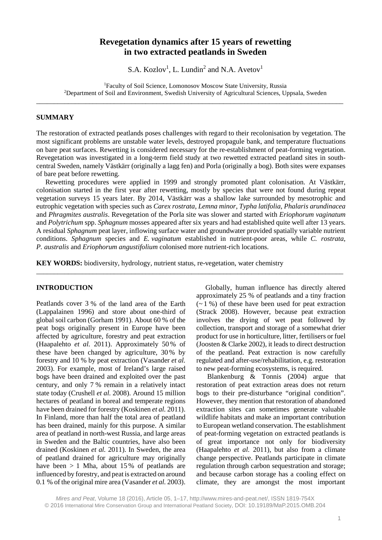# **Revegetation dynamics after 15 years of rewetting in two extracted peatlands in Sweden**

S.A. Kozlov<sup>1</sup>, L. Lundin<sup>2</sup> and N.A. Avetov<sup>1</sup>

<sup>1</sup>Faculty of Soil Science, Lomonosov Moscow State University, Russia <sup>2</sup>Department of Soil and Environment, Swedish University of Agricultural Sciences, Uppsala, Sweden

\_\_\_\_\_\_\_\_\_\_\_\_\_\_\_\_\_\_\_\_\_\_\_\_\_\_\_\_\_\_\_\_\_\_\_\_\_\_\_\_\_\_\_\_\_\_\_\_\_\_\_\_\_\_\_\_\_\_\_\_\_\_\_\_\_\_\_\_\_\_\_\_\_\_\_\_\_\_\_\_\_\_\_\_\_\_\_

# **SUMMARY**

The restoration of extracted peatlands poses challenges with regard to their recolonisation by vegetation. The most significant problems are unstable water levels, destroyed propagule bank, and temperature fluctuations on bare peat surfaces. Rewetting is considered necessary for the re-establishment of peat-forming vegetation. Revegetation was investigated in a long-term field study at two rewetted extracted peatland sites in southcentral Sweden, namely Västkärr (originally a lagg fen) and Porla (originally a bog). Both sites were expanses of bare peat before rewetting.

Rewetting procedures were applied in 1999 and strongly promoted plant colonisation. At Västkärr, colonisation started in the first year after rewetting, mostly by species that were not found during repeat vegetation surveys 15 years later. By 2014, Västkärr was a shallow lake surrounded by mesotrophic and eutrophic vegetation with species such as *Carex rostrata*, *Lemna minor*, *Typha latifolia*, *Phalaris arundinacea* and *Phragmites australis*. Revegetation of the Porla site was slower and started with *Eriophorum vaginatum* and *Polytrichum* spp. *Sphagnum* mosses appeared after six years and had established quite well after 13 years. A residual *Sphagnum* peat layer, inflowing surface water and groundwater provided spatially variable nutrient conditions. *Sphagnum* species and *E. vaginatum* established in nutrient-poor areas, while *C. rostrata*, *P. australis* and *Eriophorum angustifolium* colonised more nutrient-rich locations.

\_\_\_\_\_\_\_\_\_\_\_\_\_\_\_\_\_\_\_\_\_\_\_\_\_\_\_\_\_\_\_\_\_\_\_\_\_\_\_\_\_\_\_\_\_\_\_\_\_\_\_\_\_\_\_\_\_\_\_\_\_\_\_\_\_\_\_\_\_\_\_\_\_\_\_\_\_\_\_\_\_\_\_\_\_\_\_

**KEY WORDS:** biodiversity, hydrology, nutrient status, re-vegetation, water chemistry

### **INTRODUCTION**

Peatlands cover 3 % of the land area of the Earth (Lappalainen 1996) and store about one-third of global soil carbon (Gorham 1991). About 60 % of the peat bogs originally present in Europe have been affected by agriculture, forestry and peat extraction (Haapalehto *et al.* 2011). Approximately 50 % of these have been changed by agriculture, 30 % by forestry and 10 % by peat extraction (Vasander *et al.* 2003). For example, most of Ireland's large raised bogs have been drained and exploited over the past century, and only 7 % remain in a relatively intact state today (Crushell *et al.* 2008). Around 15 million hectares of peatland in boreal and temperate regions have been drained for forestry (Koskinen *et al.* 2011). In Finland, more than half the total area of peatland has been drained, mainly for this purpose. A similar area of peatland in north-west Russia, and large areas in Sweden and the Baltic countries, have also been drained (Koskinen *et al.* 2011). In Sweden, the area of peatland drained for agriculture may originally have been  $> 1$  Mha, about 15% of peatlands are influenced by forestry, and peat is extracted on around 0.1 % of the original mire area (Vasander *et al.* 2003).

Globally, human influence has directly altered approximately 25 % of peatlands and a tiny fraction  $(-1\%)$  of these have been used for peat extraction (Strack 2008). However, because peat extraction involves the drying of wet peat followed by collection, transport and storage of a somewhat drier product for use in horticulture, litter, fertilisers or fuel (Joosten & Clarke 2002), it leads to direct destruction of the peatland. Peat extraction is now carefully regulated and after-use/rehabilitation, e.g. restoration to new peat-forming ecosystems, is required.

Blankenburg & Tonnis (2004) argue that restoration of peat extraction areas does not return bogs to their pre-disturbance "original condition". However, they mention that restoration of abandoned extraction sites can sometimes generate valuable wildlife habitats and make an important contribution to European wetland conservation. The establishment of peat-forming vegetation on extracted peatlands is of great importance not only for biodiversity (Haapalehto *et al.* 2011), but also from a climate change perspective. Peatlands participate in climate regulation through carbon sequestration and storage; and because carbon storage has a cooling effect on climate, they are amongst the most important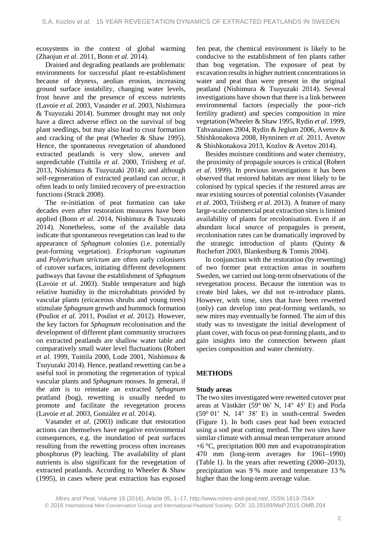ecosystems in the context of global warming (Zhaojun *et al*. 2011, Bonn *et al.* 2014).

Drained and degrading peatlands are problematic environments for successful plant re-establishment because of dryness, aeolian erosion, increasing ground surface instability, changing water levels, frost heave and the presence of excess nutrients (Lavoie *et al.* 2003, Vasander *et al.* 2003, Nishimura & Tsuyuzaki 2014). Summer drought may not only have a direct adverse effect on the survival of bog plant seedlings, but may also lead to crust formation and cracking of the peat (Wheeler & Shaw 1995). Hence, the spontaneous revegetation of abandoned extracted peatlands is very slow, uneven and unpredictable (Tuittila *et al.* 2000, Triisberg *et al*. 2013, Nishimura & Tsuyuzaki 2014); and although self-regeneration of extracted peatland can occur, it often leads to only limited recovery of pre-extraction functions (Strack 2008).

The re-initiation of peat formation can take decades even after restoration measures have been applied (Bonn *et al.* 2014, Nishimura & Tsuyuzaki 2014). Nonetheless, some of the available data indicate that spontaneous revegetation can lead to the appearance of *Sphagnum* colonies (i.e. potentially peat-forming vegetation). *Eriophorum vaginatum* and *Polytrichum strictum* are often early colonisers of cutover surfaces, initiating different development pathways that favour the establishment of *Sphagnum* (Lavoie *et al*. 2003). Stable temperature and high relative humidity in the microhabitats provided by vascular plants (ericaceous shrubs and young trees) stimulate *Sphagnum* growth and hummock formation (Pouliot *et al.* 2011, Pouliot *et al.* 2012). However, the key factors for *Sphagnum* recolonisation and the development of different plant community structures on extracted peatlands are shallow water table and comparatively small water level fluctuations (Robert *et al*. 1999, Tuittila 2000, Lode 2001, Nishimura & Tsuyuzaki 2014). Hence, peatland rewetting can be a useful tool in promoting the regeneration of typical vascular plants and *Sphagnum* mosses. In general, if the aim is to reinstate an extracted *Sphagnum* peatland (bog), rewetting is usually needed to promote and facilitate the revegetation process (Lavoie *et al*. 2003, Gonzàlez *et al.* 2014).

Vasander *et al*. (2003) indicate that restoration actions can themselves have negative environmental consequences, e.g. the inundation of peat surfaces resulting from the rewetting process often increases phosphorus (P) leaching. The availability of plant nutrients is also significant for the revegetation of extracted peatlands. According to Wheeler & Shaw (1995), in cases where peat extraction has exposed

fen peat, the chemical environment is likely to be conducive to the establishment of fen plants rather than bog vegetation. The exposure of peat by excavation results in higher nutrient concentrations in water and peat than were present in the original peatland (Nishimura & Tsuyuzaki 2014). Several investigations have shown that there is a link between environmental factors (especially the poor–rich fertility gradient) and species composition in mire vegetation (Wheeler & Shaw 1995, Rydin *et al*. 1999, Tahvanainen 2004, Rydin & Jeglum 2006, Avetov & Shishkonakova 2008, Hynninen *et al.* 2011, Avetov & Shishkonakova 2013, Kozlov & Avetov 2014).

Besides moisture conditions and water chemistry, the proximity of propagule sources is critical (Robert *et al*. 1999). In previous investigations it has been observed that restored habitats are most likely to be colonised by typical species if the restored areas are near existing sources of potential colonists (Vasander *et al*. 2003, Triisberg *et al*. 2013). A feature of many large-scale commercial peat extraction sites is limited availability of plants for recolonisation. Even if an abundant local source of propagules is present, recolonisation rates can be dramatically improved by the strategic introduction of plants (Quinty & Rochefort 2003, Blankenburg & Tonnis 2004).

In conjunction with the restoration (by rewetting) of two former peat extraction areas in southern Sweden, we carried out long-term observations of the revegetation process. Because the intention was to create bird lakes, we did not re-introduce plants. However, with time, sites that have been rewetted (only) can develop into peat-forming wetlands, so new mires may eventually be formed. The aim of this study was to investigate the initial development of plant cover, with focus on peat-forming plants, and to gain insights into the connection between plant species composition and water chemistry.

# **METHODS**

# **Study areas**

The two sites investigated were rewetted cutover peat areas at Västkärr (59° 06′ N, 14° 45′ E) and Porla  $(59°01' N, 14°38' E)$  in south-central Sweden (Figure 1). In both cases peat had been extracted using a sod peat cutting method. The two sites have similar climate with annual mean temperature around  $+6$  °C, precipitation 800 mm and evapotranspiration 470 mm (long-term averages for 1961–1990) (Table 1). In the years after rewetting (2000–2013), precipitation was 9 % more and temperature 13 % higher than the long-term average value.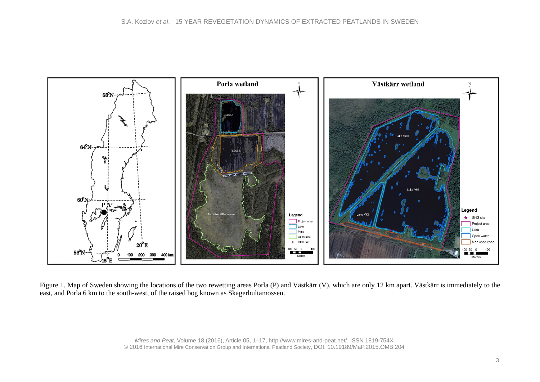

Figure 1. Map of Sweden showing the locations of the two rewetting areas Porla (P) and Västkärr (V), which are only 12 km apart. Västkärr is immediately to the east, and Porla 6 km to the south-west, of the raised bog known as Skagerhultamossen.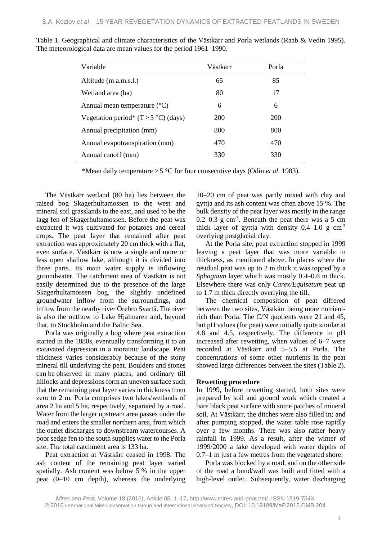| Variable                                | Västkärr | Porla |
|-----------------------------------------|----------|-------|
| Altitude (m a.m.s.l.)                   | 65       | 85    |
| Wetland area (ha)                       | 80       | 17    |
| Annual mean temperature $({}^{\circ}C)$ | 6        | 6     |
| Vegetation period* $(T > 5 °C)$ (days)  | 200      | 200   |
| Annual precipitation (mm)               | 800      | 800   |
| Annual evapotranspiration (mm)          | 470      | 470   |
| Annual runoff (mm)                      | 330      | 330   |

Table 1. Geographical and climate characteristics of the Västkärr and Porla wetlands (Raab & Vedin 1995). The meteorological data are mean values for the period 1961–1990.

\*Mean daily temperature > 5 °C for four consecutive days (Odin *et al*. 1983).

The Västkärr wetland (80 ha) lies between the raised bog Skagerhultamossen to the west and mineral soil grasslands to the east, and used to be the lagg fen of Skagerhultamossen. Before the peat was extracted it was cultivated for potatoes and cereal crops. The peat layer that remained after peat extraction was approximately 20 cm thick with a flat, even surface. Västkärr is now a single and more or less open shallow lake, although it is divided into three parts. Its main water supply is inflowing groundwater. The catchment area of Västkärr is not easily determined due to the presence of the large Skagerhultamossen bog, the slightly undefined groundwater inflow from the surroundings, and inflow from the nearby river Örebro Svartå. The river is also the outflow to Lake Hjälmaren and, beyond that, to Stockholm and the Baltic Sea.

Porla was originally a bog where peat extraction started in the 1880s, eventually transforming it to an excavated depression in a morainic landscape. Peat thickness varies considerably because of the stony mineral till underlying the peat. Boulders and stones can be observed in many places, and ordinary till hillocks and depressions form an uneven surface such that the remaining peat layer varies in thickness from zero to 2 m. Porla comprises two lakes/wetlands of area 2 ha and 5 ha, respectively, separated by a road. Water from the larger upstream area passes under the road and enters the smaller northern area, from which the outlet discharges to downstream watercourses. A poor sedge fen to the south supplies water to the Porla site. The total catchment area is 133 ha.

Peat extraction at Västkärr ceased in 1998. The ash content of the remaining peat layer varied spatially. Ash content was below 5 % in the upper peat (0–10 cm depth), whereas the underlying

10–20 cm of peat was partly mixed with clay and gyttja and its ash content was often above 15 %. The bulk density of the peat layer was mostly in the range  $0.2 - 0.3$  g cm<sup>-3</sup>. Beneath the peat there was a 5 cm thick layer of gyttja with density  $0.4-1.0 \text{ g cm}^{-3}$ overlying postglacial clay.

At the Porla site, peat extraction stopped in 1999 leaving a peat layer that was more variable in thickness, as mentioned above. In places where the residual peat was up to 2 m thick it was topped by a *Sphagnum* layer which was mostly 0.4–0.6 m thick. Elsewhere there was only *Carex/Equisetum* peat up to 1.7 m thick directly overlying the till.

The chemical composition of peat differed between the two sites, Västkärr being more nutrientrich than Porla. The C/N quotients were 21 and 45, but pH values (for peat) were initially quite similar at 4.8 and 4.5, respectively. The difference in pH increased after rewetting, when values of 6–7 were recorded at Västkärr and 5–5.5 at Porla. The concentrations of some other nutrients in the peat showed large differences between the sites (Table 2).

### **Rewetting procedure**

In 1999, before rewetting started, both sites were prepared by soil and ground work which created a bare black peat surface with some patches of mineral soil. At Västkärr, the ditches were also filled in; and after pumping stopped, the water table rose rapidly over a few months. There was also rather heavy rainfall in 1999. As a result, after the winter of 1999/2000 a lake developed with water depths of 0.7–1 m just a few metres from the vegetated shore.

Porla was blocked by a road, and on the other side of the road a bund/wall was built and fitted with a high-level outlet. Subsequently, water discharging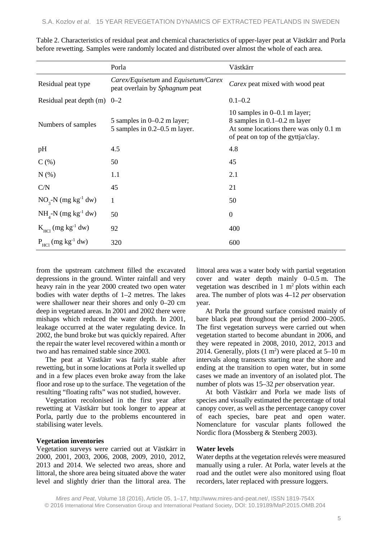|                                           | Porla                                                                 | Västkärr                                                                                                                                         |
|-------------------------------------------|-----------------------------------------------------------------------|--------------------------------------------------------------------------------------------------------------------------------------------------|
| Residual peat type                        | Carex/Equisetum and Equisetum/Carex<br>peat overlain by Sphagnum peat | Carex peat mixed with wood peat                                                                                                                  |
| Residual peat depth $(m)$ 0-2             |                                                                       | $0.1 - 0.2$                                                                                                                                      |
| Numbers of samples                        | 5 samples in $0-0.2$ m layer;<br>5 samples in $0.2-0.5$ m layer.      | 10 samples in $0-0.1$ m layer;<br>8 samples in $0.1-0.2$ m layer<br>At some locations there was only 0.1 m<br>of peat on top of the gyttja/clay. |
| pH                                        | 4.5                                                                   | 4.8                                                                                                                                              |
| $C(\%)$                                   | 50                                                                    | 45                                                                                                                                               |
| N(% )                                     | 1.1                                                                   | 2.1                                                                                                                                              |
| C/N                                       | 45                                                                    | 21                                                                                                                                               |
| $NO3-N$ (mg kg <sup>-1</sup> dw)          | $\mathbf{1}$                                                          | 50                                                                                                                                               |
| $NH4-N$ (mg kg <sup>-1</sup> dw)          | 50                                                                    | $\overline{0}$                                                                                                                                   |
| $K_{\text{HCl}}$ (mg kg <sup>-1</sup> dw) | 92                                                                    | 400                                                                                                                                              |
| $P_{\text{HCl}}$ (mg kg <sup>-1</sup> dw) | 320                                                                   | 600                                                                                                                                              |

Table 2. Characteristics of residual peat and chemical characteristics of upper-layer peat at Västkärr and Porla before rewetting. Samples were randomly located and distributed over almost the whole of each area.

from the upstream catchment filled the excavated depressions in the ground. Winter rainfall and very heavy rain in the year 2000 created two open water bodies with water depths of 1–2 metres. The lakes were shallower near their shores and only 0–20 cm deep in vegetated areas. In 2001 and 2002 there were mishaps which reduced the water depth. In 2001, leakage occurred at the water regulating device. In 2002, the bund broke but was quickly repaired. After the repair the water level recovered within a month or two and has remained stable since 2003.

The peat at Västkärr was fairly stable after rewetting, but in some locations at Porla it swelled up and in a few places even broke away from the lake floor and rose up to the surface. The vegetation of the resulting "floating rafts" was not studied, however.

Vegetation recolonised in the first year after rewetting at Västkärr but took longer to appear at Porla, partly due to the problems encountered in stabilising water levels.

### **Vegetation inventories**

Vegetation surveys were carried out at Västkärr in 2000, 2001, 2003, 2006, 2008, 2009, 2010, 2012, 2013 and 2014. We selected two areas, shore and littoral, the shore area being situated above the water level and slightly drier than the littoral area. The

littoral area was a water body with partial vegetation cover and water depth mainly 0–0.5 m. The vegetation was described in  $1 \text{ m}^2$  plots within each area. The number of plots was 4–12 *per* observation year.

At Porla the ground surface consisted mainly of bare black peat throughout the period 2000–2005. The first vegetation surveys were carried out when vegetation started to become abundant in 2006, and they were repeated in 2008, 2010, 2012, 2013 and 2014. Generally, plots  $(1 \text{ m}^2)$  were placed at 5–10 m intervals along transects starting near the shore and ending at the transition to open water, but in some cases we made an inventory of an isolated plot. The number of plots was 15–32 *per* observation year.

At both Västkärr and Porla we made lists of species and visually estimated the percentage of total canopy cover, as well as the percentage canopy cover of each species, bare peat and open water. Nomenclature for vascular plants followed the Nordic flora (Mossberg & Stenberg 2003).

### **Water levels**

Water depths at the vegetation relevés were measured manually using a ruler. At Porla, water levels at the road and the outlet were also monitored using float recorders, later replaced with pressure loggers.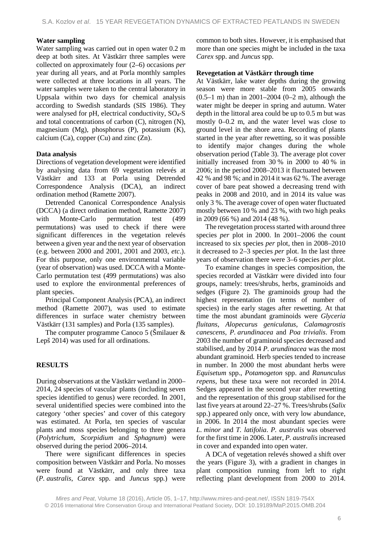### **Water sampling**

Water sampling was carried out in open water 0.2 m deep at both sites. At Västkärr three samples were collected on approximately four (2–6) occasions *per* year during all years, and at Porla monthly samples were collected at three locations in all years. The water samples were taken to the central laboratory in Uppsala within two days for chemical analysis according to Swedish standards (SIS 1986). They were analysed for pH, electrical conductivity, SO<sub>4</sub>-S and total concentrations of carbon (C), nitrogen (N), magnesium (Mg), phosphorus (P), potassium (K), calcium (Ca), copper (Cu) and zinc  $(Zn)$ .

#### **Data analysis**

Directions of vegetation development were identified by analysing data from 69 vegetation relevés at Västkärr and 133 at Porla using Detrended Correspondence Analysis (DCA), an indirect ordination method (Ramette 2007).

Detrended Canonical Correspondence Analysis (DCCA) (a direct ordination method, Ramette 2007) with Monte-Carlo permutation test (499) permutations) was used to check if there were significant differences in the vegetation relevés between a given year and the next year of observation (e.g. between 2000 and 2001, 2001 and 2003, *etc*.). For this purpose, only one environmental variable (year of observation) was used. DCCA with a Monte-Carlo permutation test (499 permutations) was also used to explore the environmental preferences of plant species.

Principal Component Analysis (PCA), an indirect method (Ramette 2007), was used to estimate differences in surface water chemistry between Västkärr (131 samples) and Porla (135 samples).

The computer programme Canoco 5 (Šmilauer & Lepš 2014) was used for all ordinations.

#### **RESULTS**

During observations at the Västkärr wetland in 2000– 2014, 24 species of vascular plants (including seven species identified to genus) were recorded. In 2001, several unidentified species were combined into the category 'other species' and cover of this category was estimated. At Porla, ten species of vascular plants and moss species belonging to three genera (*Polytrichum*, *Scorpidium* and *Sphagnum*) were observed during the period 2006–2014.

There were significant differences in species composition between Västkärr and Porla. No mosses were found at Västkärr, and only three taxa (*P. australis*, *Carex* spp. and *Juncus* spp*.*) were

common to both sites. However, it is emphasised that more than one species might be included in the taxa *Carex* spp. and *Juncus* spp.

# **Revegetation at Västkärr through time**

At Västkärr, lake water depths during the growing season were more stable from 2005 onwards  $(0.5-1 \text{ m})$  than in 2001–2004  $(0-2 \text{ m})$ , although the water might be deeper in spring and autumn. Water depth in the littoral area could be up to 0.5 m but was mostly 0–0.2 m, and the water level was close to ground level in the shore area. Recording of plants started in the year after rewetting, so it was possible to identify major changes during the whole observation period (Table 3). The average plot cover initially increased from 30 % in 2000 to 40 % in 2006; in the period 2008–2013 it fluctuated between 42 % and 98 %; and in 2014 it was 62 %. The average cover of bare peat showed a decreasing trend with peaks in 2008 and 2010, and in 2014 its value was only 3 %. The average cover of open water fluctuated mostly between 10 % and 23 %, with two high peaks in 2009 (66 %) and 2014 (48 %).

The revegetation process started with around three species *per* plot in 2000. In 2001–2006 the count increased to six species *per* plot, then in 2008–2010 it decreased to 2–3 species *per* plot. In the last three years of observation there were 3–6 species *per* plot.

To examine changes in species composition, the species recorded at Västkärr were divided into four groups, namely: trees/shrubs, herbs, graminoids and sedges (Figure 2). The graminoids group had the highest representation (in terms of number of species) in the early stages after rewetting. At that time the most abundant graminoids were *Glyceria fluitans*, *Alopecurus geniculatus*, *Calamagrostis canescens*, *P. arundinacea* and *Poa trivialis*. From 2003 the number of graminoid species decreased and stabilised, and by 2014 *P. arundinacea* was the most abundant graminoid*.* Herb species tended to increase in number. In 2000 the most abundant herbs were *Equisetum* spp., *Potamogeton* spp. and *Ranunculus repens*, but these taxa were not recorded in 2014. Sedges appeared in the second year after rewetting and the representation of this group stabilised for the last five years at around 22–27 %. Trees/shrubs (*Salix* spp.) appeared only once, with very low abundance, in 2006. In 2014 the most abundant species were *L. minor* and *T. latifolia*. *P. australis* was observed for the first time in 2006. Later, *P. australis* increased in cover and expanded into open water.

A DCA of vegetation relevés showed a shift over the years (Figure 3), with a gradient in changes in plant composition running from left to right reflecting plant development from 2000 to 2014.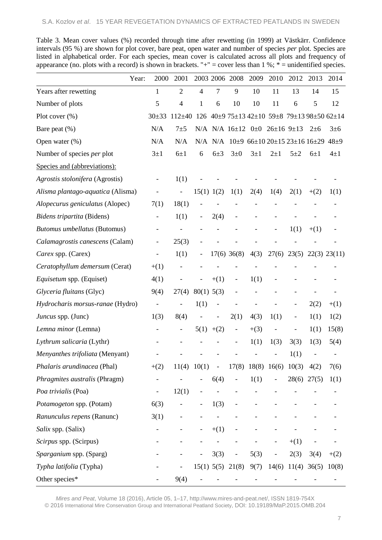|                                     | 2000<br>Year:            | 2001                     |                |                          | 2003 2006 2008           | 2009    | 2010                                                         | 2012                     | 2013        | 2014                                          |
|-------------------------------------|--------------------------|--------------------------|----------------|--------------------------|--------------------------|---------|--------------------------------------------------------------|--------------------------|-------------|-----------------------------------------------|
| Years after rewetting               | 1                        | $\overline{2}$           | $\overline{4}$ | 7                        | 9                        | 10      | 11                                                           | 13                       | 14          | 15                                            |
| Number of plots                     | 5                        | $\overline{4}$           | 1              | 6                        | 10                       | 10      | 11                                                           | 6                        | 5           | 12                                            |
| Plot cover $(\%)$                   | $30+33$                  | $112+40$                 |                |                          |                          |         |                                                              |                          |             | $126$ 40±9 75±13 42±10 59±8 79±13 98±50 62±14 |
| Bare peat (%)                       | N/A                      | $7\pm5$                  |                |                          |                          |         | N/A N/A $16\pm12$ 0 $\pm0$ 26 $\pm16$ 9 $\pm13$              |                          | $2 \pm 6$   | $3\pm 6$                                      |
| Open water $(\%)$                   | N/A                      | N/A                      |                |                          |                          |         | N/A N/A $10\pm9$ 66 $\pm10$ 20 $\pm15$ 23 $\pm16$ 16 $\pm29$ |                          |             | $48+9$                                        |
| Number of species per plot          | $3\pm1$                  | $6\pm1$                  | 6              | $6\pm3$                  | $3\pm0$                  | $3\pm1$ | $2\pm1$                                                      | $5\pm2$                  | $6\pm1$     | $4\pm1$                                       |
| Species and (abbreviations):        |                          |                          |                |                          |                          |         |                                                              |                          |             |                                               |
| Agrostis stolonifera (Agrostis)     | $\qquad \qquad -$        | 1(1)                     |                |                          |                          |         |                                                              |                          |             |                                               |
| Alisma plantago-aquatica (Alisma)   |                          | $\blacksquare$           |                | 15(1) 1(2)               | 1(1)                     | 2(4)    | 1(4)                                                         | 2(1)                     | $+(2)$      | 1(1)                                          |
| Alopecurus geniculatus (Alopec)     | 7(1)                     | 18(1)                    |                |                          |                          |         |                                                              |                          |             |                                               |
| Bidens tripartita (Bidens)          | $\overline{\phantom{a}}$ | 1(1)                     |                | 2(4)                     | $\overline{\phantom{0}}$ |         |                                                              |                          |             |                                               |
| <b>Butomus umbellatus (Butomus)</b> | -                        |                          |                |                          |                          |         |                                                              | 1(1)                     | $+(1)$      |                                               |
| Calamagrostis canescens (Calam)     | $\overline{\phantom{a}}$ | 25(3)                    |                |                          |                          |         |                                                              |                          |             |                                               |
| Carex spp. (Carex)                  |                          | 1(1)                     |                |                          | $17(6)$ 36(8)            | 4(3)    |                                                              |                          |             | $27(6)$ $23(5)$ $22(3)$ $23(11)$              |
| Ceratophyllum demersum (Cerat)      | $+(1)$                   |                          |                |                          |                          |         |                                                              |                          |             |                                               |
| Equisetum spp. (Equiset)            | 4(1)                     | $\overline{\phantom{a}}$ |                | $+(1)$                   | $\overline{\phantom{a}}$ | 1(1)    |                                                              |                          |             |                                               |
| Glyceria fluitans (Glyc)            | 9(4)                     | 27(4)                    | 80(1) 5(3)     |                          |                          |         |                                                              |                          |             |                                               |
| Hydrocharis morsus-ranae (Hydro)    |                          |                          | 1(1)           |                          |                          |         |                                                              |                          | 2(2)        | $+(1)$                                        |
| Juncus spp. (Junc)                  | 1(3)                     | 8(4)                     |                | $\overline{\phantom{0}}$ | 2(1)                     | 4(3)    | 1(1)                                                         | $\overline{\phantom{m}}$ | 1(1)        | 1(2)                                          |
| Lemna minor (Lemna)                 |                          |                          |                | $5(1)$ +(2)              | $\overline{\phantom{m}}$ | $+(3)$  |                                                              |                          | 1(1)        | 15(8)                                         |
| Lythrum salicaria (Lythr)           |                          |                          |                |                          |                          | 1(1)    | 1(3)                                                         | 3(3)                     | 1(3)        | 5(4)                                          |
| Menyanthes trifoliata (Menyant)     |                          |                          |                |                          |                          |         |                                                              | 1(1)                     |             | -                                             |
| Phalaris arundinacea (Phal)         | $+(2)$                   | 11(4) 10(1)              |                | $\overline{\phantom{a}}$ |                          |         | $17(8)$ 18(8) 16(6) 10(3)                                    |                          | 4(2)        | 7(6)                                          |
| Phragmites australis (Phragm)       | $\blacksquare$           |                          |                | 6(4)                     |                          | 1(1)    |                                                              |                          | 28(6) 27(5) | 1(1)                                          |
| Poa trivialis (Poa)                 | $\overline{\phantom{0}}$ | 12(1)                    |                |                          |                          |         |                                                              |                          |             |                                               |
| Potamogeton spp. (Potam)            | 6(3)                     |                          |                | 1(3)                     |                          |         |                                                              |                          |             |                                               |
| Ranunculus repens (Ranunc)          | 3(1)                     |                          |                |                          |                          |         |                                                              |                          |             |                                               |
| Salix spp. (Salix)                  | $\overline{\phantom{0}}$ |                          |                | $+(1)$                   |                          |         |                                                              |                          |             |                                               |
| Scirpus spp. (Scirpus)              |                          |                          |                |                          |                          |         |                                                              | $+(1)$                   |             |                                               |
| Sparganium spp. (Sparg)             |                          |                          |                | 3(3)                     | $\overline{\phantom{0}}$ | 5(3)    |                                                              | 2(3)                     | 3(4)        | $+(2)$                                        |
| Typha latifolia (Typha)             |                          | $\overline{\phantom{a}}$ |                |                          | 15(1) 5(5) 21(8)         | 9(7)    | 14(6)                                                        |                          |             | $11(4)$ 36(5) $10(8)$                         |
| Other species*                      |                          | 9(4)                     |                |                          |                          |         |                                                              |                          |             |                                               |

Table 3. Mean cover values (%) recorded through time after rewetting (in 1999) at Västkärr. Confidence intervals (95 %) are shown for plot cover, bare peat, open water and number of species *per* plot. Species are listed in alphabetical order. For each species, mean cover is calculated across all plots and frequency of appearance (no. plots with a record) is shown in brackets. " $+$ " = cover less than 1 %;  $*$  = unidentified species.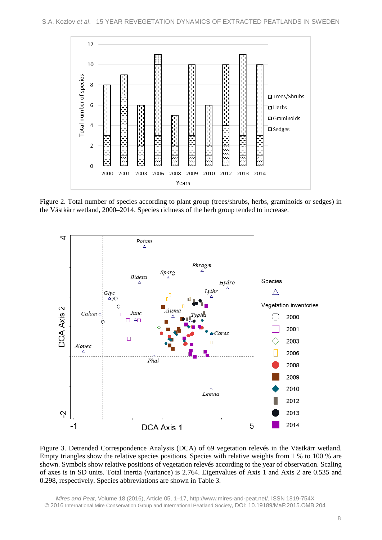

Figure 2. Total number of species according to plant group (trees/shrubs, herbs, graminoids or sedges) in the Västkärr wetland, 2000–2014. Species richness of the herb group tended to increase.



Figure 3. Detrended Correspondence Analysis (DCA) of 69 vegetation relevés in the Västkärr wetland. Empty triangles show the relative species positions. Species with relative weights from 1 % to 100 % are shown. Symbols show relative positions of vegetation relevés according to the year of observation. Scaling of axes is in SD units. Total inertia (variance) is 2.764. Eigenvalues of Axis 1 and Axis 2 are 0.535 and 0.298, respectively. Species abbreviations are shown in Table 3.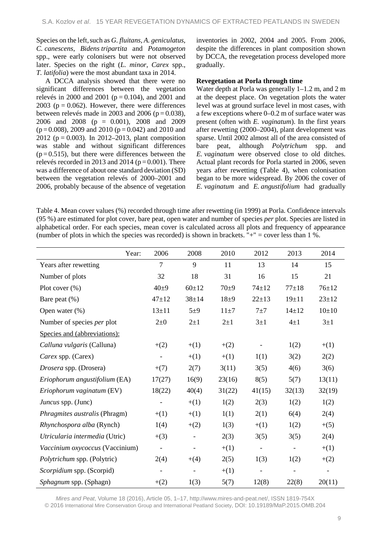Species on the left, such as *G. fluitans*, *A. geniculatus*, *C. canescens*, *Bidens tripartita* and *Potamogeton* spp., were early colonisers but were not observed later. Species on the right (*L. minor, Carex* spp., *T. latifolia*) were the most abundant taxa in 2014.

A DCCA analysis showed that there were no significant differences between the vegetation relevés in 2000 and 2001 ( $p = 0.104$ ), and 2001 and 2003 ( $p = 0.062$ ). However, there were differences between relevés made in 2003 and 2006 ( $p = 0.038$ ), 2006 and 2008 (p = 0.001), 2008 and 2009  $(p=0.008)$ , 2009 and 2010 ( $p=0.042$ ) and 2010 and 2012 ( $p = 0.003$ ). In 2012–2013, plant composition was stable and without significant differences  $(p=0.515)$ , but there were differences between the relevés recorded in 2013 and 2014 ( $p = 0.001$ ). There was a difference of about one standard deviation (SD) between the vegetation relevés of 2000–2001 and 2006, probably because of the absence of vegetation inventories in 2002, 2004 and 2005. From 2006, despite the differences in plant composition shown by DCCA, the revegetation process developed more gradually.

# **Revegetation at Porla through time**

Water depth at Porla was generally 1–1.2 m, and 2 m at the deepest place. On vegetation plots the water level was at ground surface level in most cases, with a few exceptions where 0–0.2 m of surface water was present (often with *E. vaginatum*). In the first years after rewetting (2000–2004), plant development was sparse. Until 2002 almost all of the area consisted of bare peat, although *Polytrichum* spp. and *E. vaginatum* were observed close to old ditches. Actual plant records for Porla started in 2006, seven years after rewetting (Table 4), when colonisation began to be more widespread. By 2006 the cover of *E. vaginatum* and *E. angustifolium* had gradually

Table 4. Mean cover values (%) recorded through time after rewetting (in 1999) at Porla. Confidence intervals (95 %) are estimated for plot cover, bare peat, open water and number of species *per* plot. Species are listed in alphabetical order. For each species, mean cover is calculated across all plots and frequency of appearance (number of plots in which the species was recorded) is shown in brackets.  $\ddot{r}$ +" = cover less than 1 %.

| Year:                           | 2006                     | 2008                         | 2010     | 2012                     | 2013                     | 2014                     |
|---------------------------------|--------------------------|------------------------------|----------|--------------------------|--------------------------|--------------------------|
| Years after rewetting           | $\overline{7}$           | 9                            | 11       | 13                       | 14                       | 15                       |
| Number of plots                 | 32                       | 18                           | 31       | 16                       | 15                       | 21                       |
| Plot cover $(\%)$               | $40+9$                   | $60+12$                      | $70+9$   | $74 + 12$                | $77 + 18$                | $76 \pm 12$              |
| Bare peat $(\%)$                | $47+12$                  | $38 + 14$                    | $18 + 9$ | $22+13$                  | $19 \pm 11$              | $23 + 12$                |
| Open water (%)                  | $13 + 11$                | $5\pm9$                      | $11\pm7$ | $7\pm7$                  | $14 + 12$                | $10+10$                  |
| Number of species per plot      | $2\pm 0$                 | $2\pm1$                      | $2\pm1$  | $3\pm1$                  | $4\pm1$                  | $3\pm1$                  |
| Species and (abbreviations):    |                          |                              |          |                          |                          |                          |
| Calluna vulgaris (Calluna)      | $+(2)$                   | $+(1)$                       | $+(2)$   |                          | 1(2)                     | $+(1)$                   |
| Carex spp. (Carex)              | $\overline{a}$           | $+(1)$                       | $+(1)$   | 1(1)                     | 3(2)                     | 2(2)                     |
| Drosera spp. (Drosera)          | $+(7)$                   | 2(7)                         | 3(11)    | 3(5)                     | 4(6)                     | 3(6)                     |
| Eriophorum angustifolium (EA)   | 17(27)                   | 16(9)                        | 23(16)   | 8(5)                     | 5(7)                     | 13(11)                   |
| Eriophorum vaginatum (EV)       | 18(22)                   | 40(4)                        | 31(22)   | 41(15)                   | 32(13)                   | 32(19)                   |
| Juncus spp. (Junc)              | $\qquad \qquad -$        | $+(1)$                       | 1(2)     | 2(3)                     | 1(2)                     | 1(2)                     |
| Phragmites australis (Phragm)   | $+(1)$                   | $+(1)$                       | 1(1)     | 2(1)                     | 6(4)                     | 2(4)                     |
| Rhynchospora alba (Rynch)       | 1(4)                     | $+(2)$                       | 1(3)     | $+(1)$                   | 1(2)                     | $+(5)$                   |
| Utricularia intermedia (Utric)  | $+(3)$                   | $\qquad \qquad \blacksquare$ | 2(3)     | 3(5)                     | 3(5)                     | 2(4)                     |
| Vaccinium oxycoccus (Vaccinium) | $\blacksquare$           | $\overline{\phantom{0}}$     | $+(1)$   | $\overline{\phantom{a}}$ | $\blacksquare$           | $+(1)$                   |
| Polytrichum spp. (Polytric)     | 2(4)                     | $+(4)$                       | 2(5)     | 1(3)                     | 1(2)                     | $+(2)$                   |
| Scorpidium spp. (Scorpid)       | $\overline{\phantom{0}}$ | $\overline{\phantom{0}}$     | $+(1)$   | $\overline{\phantom{0}}$ | $\overline{\phantom{0}}$ | $\overline{\phantom{a}}$ |
| Sphagnum spp. (Sphagn)          | $+(2)$                   | 1(3)                         | 5(7)     | 12(8)                    | 22(8)                    | 20(11)                   |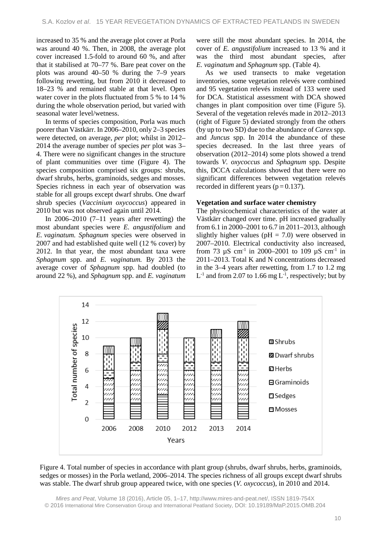increased to 35 % and the average plot cover at Porla was around 40 %. Then, in 2008, the average plot cover increased 1.5-fold to around 60 %, and after that it stabilised at 70–77 %. Bare peat cover on the plots was around 40–50 % during the 7–9 years following rewetting, but from 2010 it decreased to 18–23 % and remained stable at that level. Open water cover in the plots fluctuated from 5 % to 14 % during the whole observation period, but varied with seasonal water level/wetness.

In terms of species composition, Porla was much poorer than Västkärr. In 2006–2010, only 2–3 species were detected, on average, *per* plot; whilst in 2012– 2014 the average number of species *per* plot was 3– 4. There were no significant changes in the structure of plant communities over time (Figure 4). The species composition comprised six groups: shrubs, dwarf shrubs, herbs, graminoids, sedges and mosses. Species richness in each year of observation was stable for all groups except dwarf shrubs. One dwarf shrub species (*Vaccinium oxycoccus*) appeared in 2010 but was not observed again until 2014.

In  $2006-2010$  (7-11 years after rewetting) the most abundant species were *E. angustifolium* and *E. vaginatum. Sphagnum* species were observed in 2007 and had established quite well (12 % cover) by 2012. In that year, the most abundant taxa were *Sphagnum* spp. and *E. vaginatum.* By 2013 the average cover of *Sphagnum* spp. had doubled (to around 22 %), and *Sphagnum* spp. and *E. vaginatum* were still the most abundant species. In 2014, the cover of *E. angustifolium* increased to 13 % and it was the third most abundant species, after *E. vaginatum* and *Sphagnum* spp. (Table 4).

As we used transects to make vegetation inventories, some vegetation relevés were combined and 95 vegetation relevés instead of 133 were used for DCA. Statistical assessment with DCA showed changes in plant composition over time (Figure 5). Several of the vegetation relevés made in 2012–2013 (right of Figure 5) deviated strongly from the others (by up to two SD) due to the abundance of *Carex* spp. and *Juncus* spp. In 2014 the abundance of these species decreased. In the last three years of observation (2012–2014) some plots showed a trend towards *V. oxycoccus* and *Sphagnum* spp. Despite this, DCCA calculations showed that there were no significant differences between vegetation relevés recorded in different years ( $p = 0.137$ ).

#### **Vegetation and surface water chemistry**

The physicochemical characteristics of the water at Västkärr changed over time. pH increased gradually from 6.1 in 2000–2001 to 6.7 in 2011–2013, although slightly higher values ( $pH = 7.0$ ) were observed in 2007–2010. Electrical conductivity also increased, from 73  $\mu$ S cm<sup>-1</sup> in 2000–2001 to 109  $\mu$ S cm<sup>-1</sup> in 2011–2013. Total K and N concentrations decreased in the 3–4 years after rewetting, from 1.7 to 1.2 mg  $L^{-1}$  and from 2.07 to 1.66 mg  $L^{-1}$ , respectively; but by



Figure 4. Total number of species in accordance with plant group (shrubs, dwarf shrubs, herbs, graminoids, sedges or mosses) in the Porla wetland, 2006–2014. The species richness of all groups except dwarf shrubs was stable. The dwarf shrub group appeared twice, with one species (*V. oxycoccus*), in 2010 and 2014.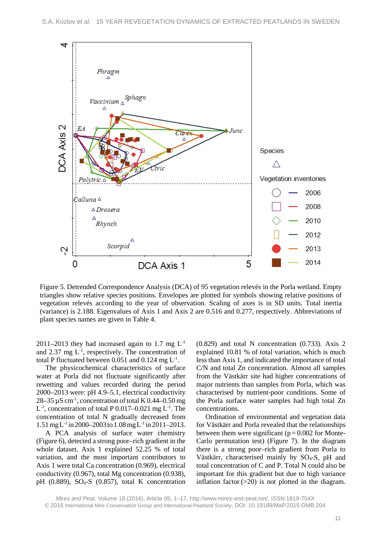

Figure 5. Detrended Correspondence Analysis (DCA) of 95 vegetation relevés in the Porla wetland. Empty triangles show relative species positions. Envelopes are plotted for symbols showing relative positions of vegetation relevés according to the year of observation. Scaling of axes is in SD units. Total inertia (variance) is 2.188. Eigenvalues of Axis 1 and Axis 2 are 0.516 and 0.277, respectively. Abbreviations of plant species names are given in Table 4.

2011–2013 they had increased again to 1.7 mg  $L^{-1}$ and 2.37 mg  $L^{-1}$ , respectively. The concentration of total P fluctuated between  $0.051$  and  $0.124$  mg  $L^{-1}$ .

The physicochemical characteristics of surface water at Porla did not fluctuate significantly after rewetting and values recorded during the period 2000–2013 were: pH 4.9–5.1, electrical conductivity 28–35  $\mu$ S cm<sup>-1</sup>, concentration of total K 0.44–0.50 mg  $L^{-1}$ , concentration of total P 0.017–0.021 mg  $L^{-1}$ . The concentration of total N gradually decreased from  $1.51 \,\text{mg} \, \text{L}^{-1}$  in 2000–2003 to  $1.08 \,\text{mg} \, \text{L}^{-1}$  in 2011–2013.

A PCA analysis of surface water chemistry (Figure 6), detected a strong poor–rich gradient in the whole dataset. Axis 1 explained 52.25 % of total variation, and the most important contributors to Axis 1 were total Ca concentration (0.969), electrical conductivity (0.967), total Mg concentration (0.938), pH  $(0.889)$ , SO<sub>4</sub>-S  $(0.857)$ , total K concentration

(0.829) and total N concentration (0.733). Axis 2 explained 10.81 % of total variation, which is much less than Axis 1, and indicated the importance of total C/N and total Zn concentration. Almost all samples from the Västkärr site had higher concentrations of major nutrients than samples from Porla, which was characterised by nutrient-poor conditions. Some of the Porla surface water samples had high total Zn concentrations.

Ordination of environmental and vegetation data for Västkärr and Porla revealed that the relationships between them were significant ( $p = 0.002$  for Monte-Carlo permutation test) (Figure 7). In the diagram there is a strong poor–rich gradient from Porla to Västkärr, characterised mainly by SO4-S, pH and total concentration of C and P. Total N could also be important for this gradient but due to high variance inflation factor  $(>=20)$  is not plotted in the diagram.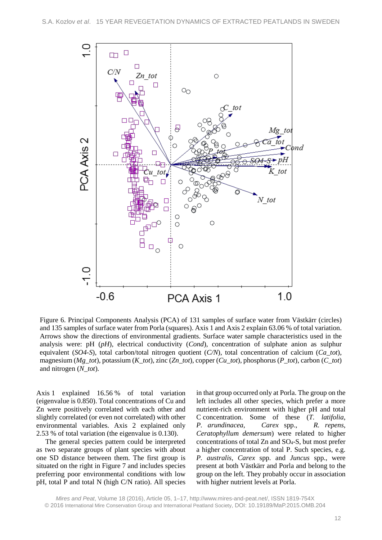

Figure 6. Principal Components Analysis (PCA) of 131 samples of surface water from Västkärr (circles) and 135 samples of surface water from Porla (squares). Axis 1 and Axis 2 explain 63.06 % of total variation. Arrows show the directions of environmental gradients. Surface water sample characteristics used in the analysis were: pH (*pH*), electrical conductivity (*Cond*), concentration of sulphate anion as sulphur equivalent (*SO4-S*), total carbon/total nitrogen quotient (*C/N*), total concentration of calcium (*Ca\_tot*), magnesium (*Mg\_tot*), potassium (*K\_tot*), zinc (*Zn\_tot*), copper (*Cu\_tot*), phosphorus (*P\_tot*), carbon (*C\_tot*) and nitrogen (*N\_tot*).

Axis 1 explained 16.56 % of total variation (eigenvalue is 0.850). Total concentrations of Cu and Zn were positively correlated with each other and slightly correlated (or even not correlated) with other environmental variables. Axis 2 explained only 2.53 % of total variation (the eigenvalue is 0.130).

The general species pattern could be interpreted as two separate groups of plant species with about one SD distance between them. The first group is situated on the right in Figure 7 and includes species preferring poor environmental conditions with low pH, total P and total N (high C/N ratio). All species

in that group occurred only at Porla. The group on the left includes all other species, which prefer a more nutrient-rich environment with higher pH and total C concentration. Some of these (*T. latifolia*, *P. arundinacea*, *Carex* spp., *R. repens*, *Ceratophyllum demersum*) were related to higher concentrations of total Zn and SO4-S, but most prefer a higher concentration of total P. Such species, e.g. *P. australis, Carex* spp. and *Juncus* spp., were present at both Västkärr and Porla and belong to the group on the left. They probably occur in association with higher nutrient levels at Porla.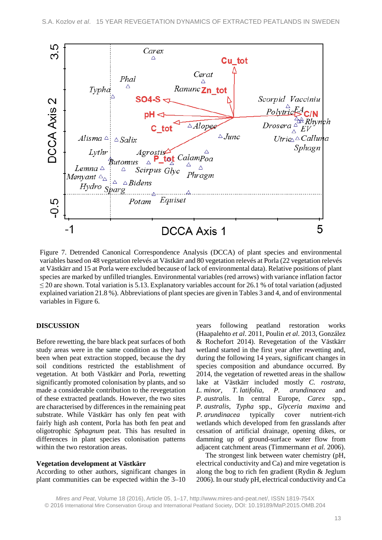

Figure 7. Detrended Canonical Correspondence Analysis (DCCA) of plant species and environmental variables based on 48 vegetation relevés at Västkärr and 80 vegetation relevés at Porla (22 vegetation relevés at Västkärr and 15 at Porla were excluded because of lack of environmental data). Relative positions of plant species are marked by unfilled triangles. Environmental variables (red arrows) with variance inflation factor  $\leq$  20 are shown. Total variation is 5.13. Explanatory variables account for 26.1 % of total variation (adjusted explained variation 21.8 %). Abbreviations of plant species are givenin Tables 3 and 4, and of environmental variables in Figure 6.

### **DISCUSSION**

Before rewetting, the bare black peat surfaces of both study areas were in the same condition as they had been when peat extraction stopped, because the dry soil conditions restricted the establishment of vegetation. At both Västkärr and Porla, rewetting significantly promoted colonisation by plants, and so made a considerable contribution to the revegetation of these extracted peatlands. However, the two sites are characterised by differences in the remaining peat substrate. While Västkärr has only fen peat with fairly high ash content, Porla has both fen peat and oligotrophic *Sphagnum* peat. This has resulted in differences in plant species colonisation patterns within the two restoration areas.

#### **Vegetation development at Västkärr**

According to other authors, significant changes in plant communities can be expected within the 3–10 years following peatland restoration works (Haapalehto *et al*. 2011, Poulin *et al.* 2013, González & Rochefort 2014). Revegetation of the Västkärr wetland started in the first year after rewetting and, during the following 14 years, significant changes in species composition and abundance occurred. By 2014, the vegetation of rewetted areas in the shallow lake at Västkärr included mostly *C. rostrata*, *L. minor*, *T. latifolia*, *P. arundinacea* and *P. australis*. In central Europe, *Carex* spp., *P. australis*, *Typha* spp., *Glyceria maxima* and *P. arundinacea* typically cover nutrient-rich wetlands which developed from fen grasslands after cessation of artificial drainage, opening dikes, or damming up of ground-surface water flow from adjacent catchment areas (Timmermann *et al.* 2006).

The strongest link between water chemistry (pH, electrical conductivity and Ca) and mire vegetation is along the bog to rich fen gradient (Rydin & Jeglum 2006). In our study pH, electrical conductivity and Ca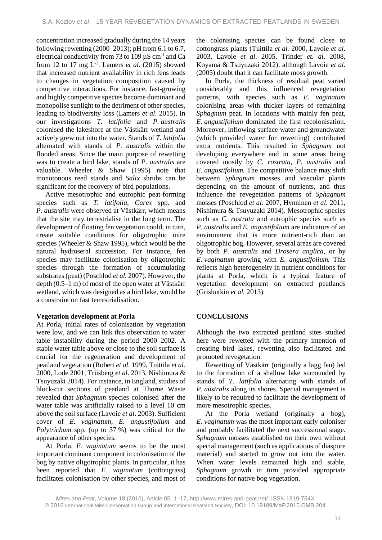concentration increased gradually during the 14 years following rewetting (2000–2013); pH from 6.1 to 6.7, electrical conductivity from 73 to 109  $\mu$ S cm<sup>-1</sup> and Ca from 12 to 17 mg L-1 . Lamers *et al*. (2015) showed that increased nutrient availability in rich fens leads to changes in vegetation composition caused by competitive interactions. For instance, fast-growing and highly competitive species become dominant and monopolise sunlight to the detriment of other species, leading to biodiversity loss (Lamers *et al*. 2015). In our investigations *T. latifolia* and *P. australis* colonised the lakeshore at the Västkärr wetland and actively grew out into the water. Stands of *T. latifolia*  alternated with stands of *P. australis* within the flooded areas. Since the main purpose of rewetting was to create a bird lake, stands of *P. australis* are valuable. Wheeler & Shaw (1995) note that monotonous reed stands and *Salix* shrubs can be significant for the recovery of bird populations.

Active mesotrophic and eutrophic peat-forming species such as *T. latifolia*, *Carex* spp. and *P. australis* were observed at Västkärr, which means that the site may terrestrialise in the long term. The development of floating fen vegetation could, in turn, create suitable conditions for oligotrophic mire species (Wheeler & Shaw 1995), which would be the natural hydroseral succession. For instance, fen species may facilitate colonisation by oligotrophic species through the formation of accumulating substrates(peat) (Poschlod *et al.* 2007). However, the depth (0.5–1 m) of most of the open water at Västkärr wetland, which was designed as a bird lake, would be a constraint on fast terrestrialisation.

# **Vegetation development at Porla**

At Porla, initial rates of colonisation by vegetation were low, and we can link this observation to water table instability during the period 2000–2002. A stable water table above or close to the soil surface is crucial for the regeneration and development of peatland vegetation (Robert *et al*. 1999, Tuittila *et al*. 2000, Lode 2001, Triisberg *et al*. 2013, Nishimura & Tsuyuzaki 2014). For instance, in England, studies of block-cut sections of peatland at Thorne Waste revealed that *Sphagnum* species colonised after the water table was artificially raised to a level 10 cm above the soil surface (Lavoie *et al*. 2003). Sufficient cover of *E. vaginatum, E. angustifolium* and *Polytrichum* spp. (up to 37 %) was critical for the appearance of other species.

At Porla, *E. vaginatum* seems to be the most important dominant component in colonisation of the bog by native oligotrophic plants. In particular, it has been reported that *E. vaginatum* (cottongrass) facilitates colonisation by other species, and most of the colonising species can be found close to cottongrass plants (Tuittila *et al.* 2000, Lavoie *et al*. 2003, Lavoie *et al*. 2005, Trinder *et. al*. 2008, Koyama & Tsuyuzaki 2012), although Lavoie *et al*. (2005) doubt that it can facilitate moss growth.

In Porla, the thickness of residual peat varied considerably and this influenced revegetation patterns, with species such as *E. vaginatum* colonising areas with thicker layers of remaining *Sphagnum* peat. In locations with mainly fen peat, *E. angustifolium* dominated the first recolonisation*.* Moreover, inflowing surface water and groundwater (which provided water for rewetting) contributed extra nutrients. This resulted in *Sphagnum* not developing everywhere and in some areas being covered mostly by *C. rostrata, P. australis* and *E. angustifolium.* The competitive balance may shift between *Sphagnum* mosses and vascular plants depending on the amount of nutrients, and thus influence the revegetation patterns of *Sphagnum* mosses (Poschlod *et al*. 2007, Hynninen *et al*. 2011, Nishimura & Tsuyuzaki 2014). Mesotrophic species such as *C. rostrata* and eutrophic species such as *P. australis* and *E. angustifolium* are indicators of an environment that is more nutrient-rich than an oligotrophic bog. However, several areas are covered by both *P. australis* and *Drosera anglica*, or by *E. vaginatum* growing with *E. angustifolium.* This reflects high heterogeneity in nutrient conditions for plants at Porla, which is a typical feature of vegetation development on extracted peatlands (Grishutkin *et al.* 2013).

# **CONCLUSIONS**

Although the two extracted peatland sites studied here were rewetted with the primary intention of creating bird lakes, rewetting also facilitated and promoted revegetation.

Rewetting of Västkärr (originally a lagg fen) led to the formation of a shallow lake surrounded by stands of *T. latifolia* alternating with stands of *P. australis* along its shores. Special management is likely to be required to facilitate the development of more mesotrophic species.

At the Porla wetland (originally a bog), *E. vaginatum* was the most important early coloniser and probably facilitated the next successional stage. *Sphagnum* mosses established on their own without special management (such as applications of diaspore material) and started to grow out into the water. When water levels remained high and stable, *Sphagnum* growth in turn provided appropriate conditions for native bog vegetation.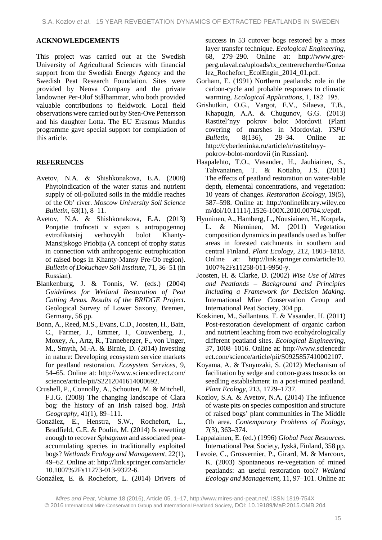### **ACKNOWLEDGEMENTS**

This project was carried out at the Swedish University of Agricultural Sciences with financial support from the Swedish Energy Agency and the Swedish Peat Research Foundation. Sites were provided by Neova Company and the private landowner Per-Olof Stålhammar, who both provided valuable contributions to fieldwork. Local field observations were carried out by Sten-Ove Pettersson and his daughter Lotta. The EU Erasmus Mundus programme gave special support for compilation of this article.

# **REFERENCES**

- Avetov, N.A. & Shishkonakova, E.A. (2008) Phytoindication of the water status and nutrient supply of oil-polluted soils in the middle reaches of the Ob' river. *Moscow University Soil Science Bulletin,* 63(1), 8–11.
- Avetov, N.A. & Shishkonakova, E.A. (2013) Ponjatie trofnosti v svjazi s antropogennoj evtrofikatsiej verhovykh bolot Khanty-Mansijskogo Priobija (A concept of trophy status in connection with anthropogenic eutrophication of raised bogs in Khanty-Mansy Pre-Ob region). *Bulletin of Dokuchaev Soil Institute*, 71, 36–51 (in Russian).
- Blankenburg, J. & Tonnis, W. (eds.) (2004) *Guidelines for Wetland Restoration of Peat Cutting Areas. Results of the BRIDGE Project.* Geological Survey of Lower Saxony, Bremen, Germany, 56 pp.
- Bonn, A., Reed, M.S., Evans, C.D., Joosten, H., Bain, C., Farmer, J., Emmer, I., Couwenberg, J., Moxey, A., Artz, R., Tanneberger, F., von Unger, M., Smyth, M.-A. & Birnie, D. (2014) Investing in nature: Developing ecosystem service markets for peatland restoration. *Ecosystem Services*, 9, 54–65. Online at: http://www.sciencedirect.com/ science/article/pii/S2212041614000692.
- Crushell, P., Connolly, A., Schouten, M. & Mitchell, F.J.G. (2008) The changing landscape of Clara bog: the history of an Irish raised bog. *Irish Geography*, 41(1), 89–111.
- González, E., Henstra, S.W., Rochefort, L., Bradfield, G.E. & Poulin, M. (2014) Is rewetting enough to recover *Sphagnum* and associated peataccumulating species in traditionally exploited bogs? *Wetlands Ecology and Management*, 22(1), 49–62. Online at: http://link.springer.com/article/ 10.1007%2Fs11273-013-9322-6.
- González, E. & Rochefort, L. (2014) Drivers of

success in 53 cutover bogs restored by a moss layer transfer technique. *Ecological Engineering*, 68, 279–290. Online at: http://www.gretperg.ulaval.ca/uploads/tx\_centrerecherche/Gonza lez\_Rochefort\_EcolEngin\_2014\_01.pdf.

- Gorham, E. (1991) Northern peatlands: role in the carbon-cycle and probable responses to climatic warming. *Ecological Applications*, 1, 182−195.
- Grishutkin, O.G., Vargot, E.V., Silaeva, T.B., Khapugin, A.A. & Chugunov, G.G. (2013) Rastitel'nyy pokrov bolot Mordovii (Plant covering of marshes in Mordovia). *TSPU Bulletin,* 8(136), 28–34. Online at: http://cyberleninka.ru/article/n/rastitelnyypokrov-bolot-mordovii (in Russian).
- Haapalehto, T.O., Vasander, H., Jauhiainen, S., Tahvanainen, T. & Kotiaho, J.S. (2011) The effects of peatland restoration on water-table depth, elemental concentrations, and vegetation: 10 years of changes. *Restoration Ecology,* 19(5), 587–598. Online at: http://onlinelibrary.wiley.co m/doi/10.1111/j.1526-100X.2010.00704.x/epdf.
- Hynninen, A., Hamberg, L., Nousiainen, H., Korpela, L. & Nieminen, M. (2011) Vegetation composition dynamics in peatlands used as buffer areas in forested catchments in southern and central Finland. *Plant Ecology*, 212, 1803–1818. Online at: http://link.springer.com/article/10. 1007%2Fs11258-011-9950-y.
- Joosten, H. & Clarke, D. (2002) *Wise Use of Mires and Peatlands – Background and Principles Including a Framework for Decision Making*. International Mire Conservation Group and International Peat Society, 304 pp.
- Koskinen, M., Sallantaus, T. & Vasander, H. (2011) Post-restoration development of organic carbon and nutrient leaching from two ecohydrologically different peatland sites. *Ecological Engineering*, 37, 1008–1016. Online at: http://www.sciencedir ect.com/science/article/pii/S0925857410002107.
- Koyama, A. & Tsuyuzaki, S. (2012) Mechanism of facilitation by sedge and cotton-grass tussocks on seedling establishment in a post-mined peatland. *Plant Ecology*, 213, 1729–1737.
- Kozlov, S.A. & Avetov, N.A. (2014) The influence of waste pits on species composition and structure of raised bogs' plant communities in The Middle Ob area. *Contemporary Problems of Ecology*, 7(3), 363–374.
- Lappalainen, E. (ed.) (1996) *Global Peat Resources*. International Peat Society, Jyskä, Finland, 358 pp.
- Lavoie, C., Grosvernier, P., Girard, M. & Marcoux, K. (2003) Spontaneous re-vegetation of mined peatlands: an useful restoration tool? *Wetland Ecology and Management*, 11, 97–101. Online at:

*Mires and Peat*, Volume 18 (2016), Article 05, 1–17, http://www.mires-and-peat.net/, ISSN 1819-754X © 2016 International Mire Conservation Group and International Peatland Society, DOI: 10.19189/MaP.2015.OMB.204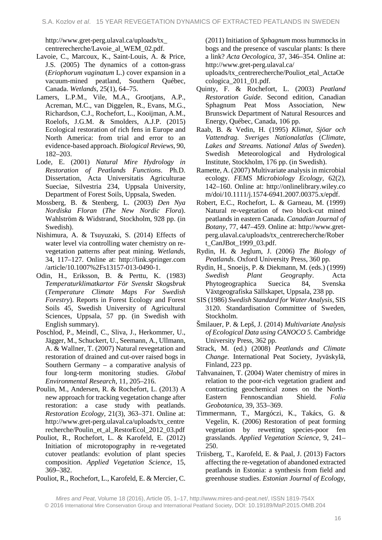http://www.gret-perg.ulaval.ca/uploads/tx\_ centrerecherche/Lavoie\_al\_WEM\_02.pdf.

- Lavoie, C., Marcoux, K., Saint-Louis, A. & Price, J.S. (2005) The dynamics of a cotton-grass (*Eriophorum vaginatum* L.) cover expansion in a vacuum-mined peatland, Southern Québec, Canada. *Wetlands*, 25(1), 64–75.
- Lamers, L.P.M., Vile, M.A., Grootjans, A.P., Acreman, M.C., van Diggelen, R., Evans, M.G., Richardson, C.J., Rochefort, L., Kooijman, A.M., Roelofs, J.G.M. & Smolders, A.J.P. (2015) Ecological restoration of rich fens in Europe and North America: from trial and error to an evidence-based approach. *Biological Reviews*, 90, 182–203.
- Lode, E. (2001) *Natural Mire Hydrology in Restoration of Peatlands Functions*. Ph.D. Dissertation, Acta Universitatis Agriculturae Sueciae, Silvestria 234, Uppsala University, Department of Forest Soils, Uppsala, Sweden.
- Mossberg, B. & Stenberg, L. (2003) *Den Nya Nordiska Floran* (*The New Nordic Flora*). Wahlström & Widstrand, Stockholm, 928 pp. (in Swedish).
- Nishimura, A. & Tsuyuzaki, S. (2014) Effects of water level via controlling water chemistry on revegetation patterns after peat mining. *Wetlands*, 34, 117–127. Online at: http://link.springer.com /article/10.1007%2Fs13157-013-0490-1.
- Odin, H., Eriksson, B. & Perttu, K. (1983) *Temperaturklimatkartor För Svenskt Skogsbruk* (*Temperature Climate Maps For Swedish Forestry*). Reports in Forest Ecology and Forest Soils 45, Swedish University of Agricultural Sciences, Uppsala, 57 pp. (in Swedish with English summary).
- Poschlod, P., Meindl, C., Sliva, J., Herkommer, U., Jägger, M., Schuckert, U., Seemann, A., Ullmann, A. & Wallner, T. (2007) Natural revegetation and restoration of drained and cut-over raised bogs in Southern Germany – a comparative analysis of four long-term monitoring studies. *Global Environmental Research,* 11, 205–216.
- Poulin, M., Andersen, R. & Rochefort, L. (2013) A new approach for tracking vegetation change after restoration: a case study with peatlands. *Restoration Ecology*, 21(3), 363–371. Online at: http://www.gret-perg.ulaval.ca/uploads/tx\_centre recherche/Poulin\_et\_al\_RestorEcol\_2012\_03.pdf
- Pouliot, R., Rochefort, L. & Karofeld, E. (2012) Initiation of microtopography in re-vegetated cutover peatlands: evolution of plant species composition. *Applied Vegetation Science*, 15, 369–382.
- Pouliot, R., Rochefort, L., Karofeld, E. & Mercier, C.

(2011) Initiation of *Sphagnum* moss hummocks in bogs and the presence of vascular plants: Is there a link? *Acta Oecologica*, 37, 346–354. Online at: http://www.gret-perg.ulaval.ca/

uploads/tx\_centrerecherche/Pouliot\_etal\_ActaOe cologica\_2011\_01.pdf.

- Quinty, F. & Rochefort, L. (2003) *Peatland Restoration Guide*. Second edition, Canadian Sphagnum Peat Moss Association, New Brunswick Department of Natural Resources and Energy, Québec, Canada, 106 pp.
- Raab, B. & Vedin, H. (1995) *Klimat, Sjöar och Vattendrag. Sveriges Nationalatlas* (*Climate, Lakes and Streams. National Atlas of Sweden*). Swedish Meteorological and Hydrological Institute, Stockholm, 176 pp. (in Swedish).
- Ramette, A. (2007) Multivariate analysis in microbial ecology. *FEMS Microbiology Ecology,* 62(2), 142–160. Online at: http://onlinelibrary.wiley.co m/doi/10.1111/j.1574-6941.2007.00375.x/epdf.
- Robert, E.C., Rochefort, L. & Garneau, M. (1999) Natural re-vegetation of two block-cut mined peatlands in eastern Canada. *Canadian Journal of Botany*, 77, 447–459. Online at: http://www.gretperg.ulaval.ca/uploads/tx\_centrerecherche/Rober t\_CanJBot\_1999\_03.pdf.
- Rydin, H. & Jeglum, J. (2006) *The Biology of Peatlands*. Oxford University Press, 360 pp.
- Rydin, H., Snoeijs, P. & Diekmann, M. (eds.) (1999) *Swedish Plant Geography*. Acta Phytogeographica Suecica 84, Svenska Växtgeografiska Sällskapet, Uppsala, 238 pp.
- SIS (1986) *Swedish Standard for Water Analysis*, SIS 3120. Standardisation Committee of Sweden, Stockholm.
- Šmilauer, P. & Lepš, J. (2014) *Multivariate Analysis of Ecological Data using CANOCO 5*. Cambridge University Press, 362 pp.
- Strack, M. (ed.) (2008) *Peatlands and Climate Change.* International Peat Society, Jyväskylä, Finland, 223 pp.
- Tahvanainen, T. (2004) Water chemistry of mires in relation to the poor-rich vegetation gradient and contracting geochemical zones on the North-Eastern Fennoscandian Shield. *Folia Geobotanica,* 39, 353–369.
- Timmermann, T., Margóczi, K., Takács, G. & Vegelin, K. (2006) Restoration of peat forming vegetation by rewetting species-poor fen grasslands. *Applied Vegetation Science*, 9, 241– 250.
- Triisberg, T., Karofeld, E. & Paal, J. (2013) Factors affecting the re-vegetation of abandoned extracted peatlands in Estonia: a synthesis from field and greenhouse studies. *Estonian Journal of Ecology*,

*Mires and Peat*, Volume 18 (2016), Article 05, 1–17, http://www.mires-and-peat.net/, ISSN 1819-754X © 2016 International Mire Conservation Group and International Peatland Society, DOI: 10.19189/MaP.2015.OMB.204